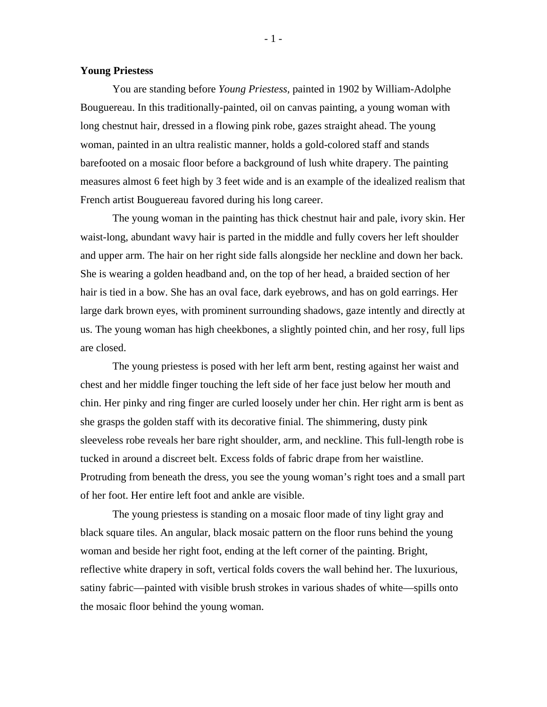## **Young Priestess**

 You are standing before *Young Priestess,* painted in 1902 by William-Adolphe Bouguereau. In this traditionally-painted, oil on canvas painting, a young woman with long chestnut hair, dressed in a flowing pink robe, gazes straight ahead. The young woman, painted in an ultra realistic manner, holds a gold-colored staff and stands barefooted on a mosaic floor before a background of lush white drapery. The painting measures almost 6 feet high by 3 feet wide and is an example of the idealized realism that French artist Bouguereau favored during his long career.

 The young woman in the painting has thick chestnut hair and pale, ivory skin. Her waist-long, abundant wavy hair is parted in the middle and fully covers her left shoulder and upper arm. The hair on her right side falls alongside her neckline and down her back. She is wearing a golden headband and, on the top of her head, a braided section of her hair is tied in a bow. She has an oval face, dark eyebrows, and has on gold earrings. Her large dark brown eyes, with prominent surrounding shadows, gaze intently and directly at us. The young woman has high cheekbones, a slightly pointed chin, and her rosy, full lips are closed.

 The young priestess is posed with her left arm bent, resting against her waist and chest and her middle finger touching the left side of her face just below her mouth and chin. Her pinky and ring finger are curled loosely under her chin. Her right arm is bent as she grasps the golden staff with its decorative finial. The shimmering, dusty pink sleeveless robe reveals her bare right shoulder, arm, and neckline. This full-length robe is tucked in around a discreet belt. Excess folds of fabric drape from her waistline. Protruding from beneath the dress, you see the young woman's right toes and a small part of her foot. Her entire left foot and ankle are visible.

 The young priestess is standing on a mosaic floor made of tiny light gray and black square tiles. An angular, black mosaic pattern on the floor runs behind the young woman and beside her right foot, ending at the left corner of the painting. Bright, reflective white drapery in soft, vertical folds covers the wall behind her. The luxurious, satiny fabric—painted with visible brush strokes in various shades of white—spills onto the mosaic floor behind the young woman.

- 1 -